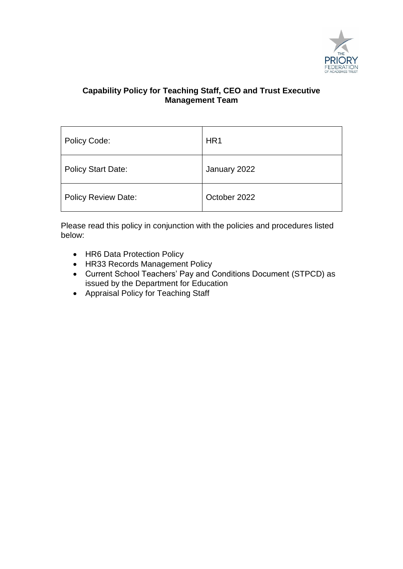

| Policy Code:               | HR <sub>1</sub> |
|----------------------------|-----------------|
| <b>Policy Start Date:</b>  | January 2022    |
| <b>Policy Review Date:</b> | October 2022    |

Please read this policy in conjunction with the policies and procedures listed below:

- HR6 Data Protection Policy
- HR33 Records Management Policy
- Current School Teachers' Pay and Conditions Document (STPCD) as issued by the Department for Education
- Appraisal Policy for Teaching Staff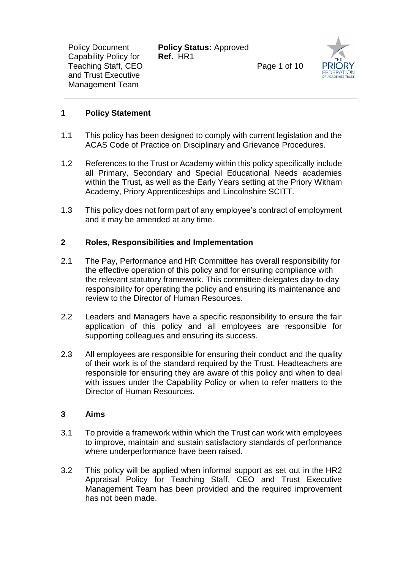**Policy Status:** Approved **Ref.** HR1

Page 1 of 10



# **1 Policy Statement**

- 1.1 This policy has been designed to comply with current legislation and the ACAS Code of Practice on Disciplinary and Grievance Procedures.
- 1.2 References to the Trust or Academy within this policy specifically include all Primary, Secondary and Special Educational Needs academies within the Trust, as well as the Early Years setting at the Priory Witham Academy, Priory Apprenticeships and Lincolnshire SCITT.
- 1.3 This policy does not form part of any employee's contract of employment and it may be amended at any time.

### **2 Roles, Responsibilities and Implementation**

- 2.1 The Pay, Performance and HR Committee has overall responsibility for the effective operation of this policy and for ensuring compliance with the relevant statutory framework. This committee delegates day-to-day responsibility for operating the policy and ensuring its maintenance and review to the Director of Human Resources.
- 2.2 Leaders and Managers have a specific responsibility to ensure the fair application of this policy and all employees are responsible for supporting colleagues and ensuring its success.
- 2.3 All employees are responsible for ensuring their conduct and the quality of their work is of the standard required by the Trust. Headteachers are responsible for ensuring they are aware of this policy and when to deal with issues under the Capability Policy or when to refer matters to the Director of Human Resources.

#### **3 Aims**

- 3.1 To provide a framework within which the Trust can work with employees to improve, maintain and sustain satisfactory standards of performance where underperformance have been raised.
- 3.2 This policy will be applied when informal support as set out in the HR2 Appraisal Policy for Teaching Staff, CEO and Trust Executive Management Team has been provided and the required improvement has not been made.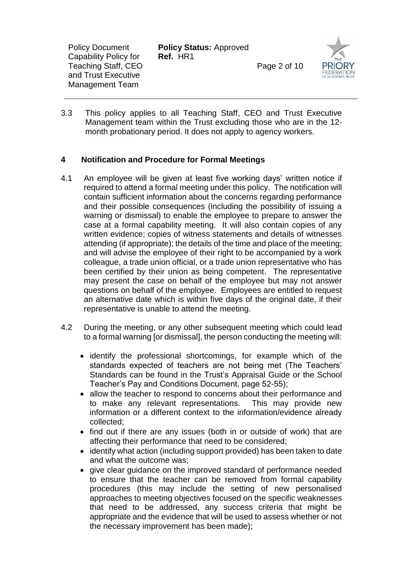**Policy Status:** Approved **Ref.** HR1

Page 2 of 10



3.3 This policy applies to all Teaching Staff, CEO and Trust Executive Management team within the Trust excluding those who are in the 12 month probationary period. It does not apply to agency workers.

# **4 Notification and Procedure for Formal Meetings**

- 4.1 An employee will be given at least five working days' written notice if required to attend a formal meeting under this policy. The notification will contain sufficient information about the concerns regarding performance and their possible consequences (including the possibility of issuing a warning or dismissal) to enable the employee to prepare to answer the case at a formal capability meeting. It will also contain copies of any written evidence; copies of witness statements and details of witnesses attending (if appropriate); the details of the time and place of the meeting; and will advise the employee of their right to be accompanied by a work colleague, a trade union official, or a trade union representative who has been certified by their union as being competent. The representative may present the case on behalf of the employee but may not answer questions on behalf of the employee. Employees are entitled to request an alternative date which is within five days of the original date, if their representative is unable to attend the meeting.
- 4.2 During the meeting, or any other subsequent meeting which could lead to a formal warning [or dismissal], the person conducting the meeting will:
	- identify the professional shortcomings, for example which of the standards expected of teachers are not being met (The Teachers' Standards can be found in the Trust's Appraisal Guide or the School Teacher's Pay and Conditions Document, page 52-55);
	- allow the teacher to respond to concerns about their performance and to make any relevant representations. This may provide new information or a different context to the information/evidence already collected;
	- find out if there are any issues (both in or outside of work) that are affecting their performance that need to be considered;
	- identify what action (including support provided) has been taken to date and what the outcome was;
	- give clear guidance on the improved standard of performance needed to ensure that the teacher can be removed from formal capability procedures (this may include the setting of new personalised approaches to meeting objectives focused on the specific weaknesses that need to be addressed, any success criteria that might be appropriate and the evidence that will be used to assess whether or not the necessary improvement has been made);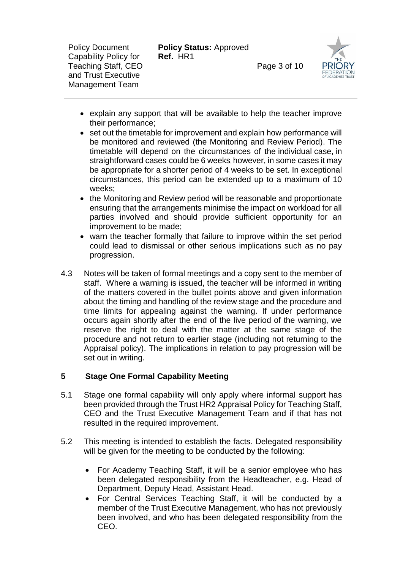**Policy Status:** Approved **Ref.** HR1

Page 3 of 10



- explain any support that will be available to help the teacher improve their performance;
- set out the timetable for improvement and explain how performance will be monitored and reviewed (the Monitoring and Review Period). The timetable will depend on the circumstances of the individual case, in straightforward cases could be 6 weeks, however, in some cases it may be appropriate for a shorter period of 4 weeks to be set. In exceptional circumstances, this period can be extended up to a maximum of 10 weeks;
- the Monitoring and Review period will be reasonable and proportionate ensuring that the arrangements minimise the impact on workload for all parties involved and should provide sufficient opportunity for an improvement to be made;
- warn the teacher formally that failure to improve within the set period could lead to dismissal or other serious implications such as no pay progression.
- 4.3 Notes will be taken of formal meetings and a copy sent to the member of staff. Where a warning is issued, the teacher will be informed in writing of the matters covered in the bullet points above and given information about the timing and handling of the review stage and the procedure and time limits for appealing against the warning. If under performance occurs again shortly after the end of the live period of the warning, we reserve the right to deal with the matter at the same stage of the procedure and not return to earlier stage (including not returning to the Appraisal policy). The implications in relation to pay progression will be set out in writing.

# **5 Stage One Formal Capability Meeting**

- 5.1 Stage one formal capability will only apply where informal support has been provided through the Trust HR2 Appraisal Policy for Teaching Staff, CEO and the Trust Executive Management Team and if that has not resulted in the required improvement.
- 5.2 This meeting is intended to establish the facts. Delegated responsibility will be given for the meeting to be conducted by the following:
	- For Academy Teaching Staff, it will be a senior employee who has been delegated responsibility from the Headteacher, e.g. Head of Department, Deputy Head, Assistant Head.
	- For Central Services Teaching Staff, it will be conducted by a member of the Trust Executive Management, who has not previously been involved, and who has been delegated responsibility from the CEO.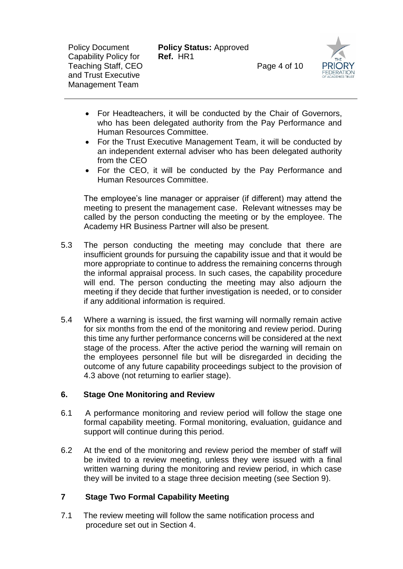**Policy Status:** Approved **Ref.** HR1

Page 4 of 10



- For Headteachers, it will be conducted by the Chair of Governors, who has been delegated authority from the Pay Performance and Human Resources Committee.
- For the Trust Executive Management Team, it will be conducted by an independent external adviser who has been delegated authority from the CEO
- For the CEO, it will be conducted by the Pay Performance and Human Resources Committee.

The employee's line manager or appraiser (if different) may attend the meeting to present the management case. Relevant witnesses may be called by the person conducting the meeting or by the employee. The Academy HR Business Partner will also be present*.*

- 5.3 The person conducting the meeting may conclude that there are insufficient grounds for pursuing the capability issue and that it would be more appropriate to continue to address the remaining concerns through the informal appraisal process. In such cases, the capability procedure will end. The person conducting the meeting may also adjourn the meeting if they decide that further investigation is needed, or to consider if any additional information is required.
- 5.4 Where a warning is issued, the first warning will normally remain active for six months from the end of the monitoring and review period. During this time any further performance concerns will be considered at the next stage of the process. After the active period the warning will remain on the employees personnel file but will be disregarded in deciding the outcome of any future capability proceedings subject to the provision of 4.3 above (not returning to earlier stage).

#### **6. Stage One Monitoring and Review**

- 6.1 A performance monitoring and review period will follow the stage one formal capability meeting. Formal monitoring, evaluation, guidance and support will continue during this period.
- 6.2 At the end of the monitoring and review period the member of staff will be invited to a review meeting, unless they were issued with a final written warning during the monitoring and review period, in which case they will be invited to a stage three decision meeting (see Section 9).

# **7 Stage Two Formal Capability Meeting**

7.1 The review meeting will follow the same notification process and procedure set out in Section 4.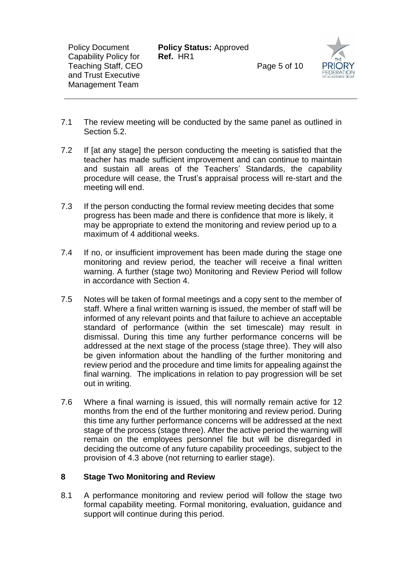**Policy Status:** Approved **Ref.** HR1

Page 5 of 10



- 7.1 The review meeting will be conducted by the same panel as outlined in Section 5.2.
- 7.2 If [at any stage] the person conducting the meeting is satisfied that the teacher has made sufficient improvement and can continue to maintain and sustain all areas of the Teachers' Standards, the capability procedure will cease, the Trust's appraisal process will re-start and the meeting will end.
- 7.3 If the person conducting the formal review meeting decides that some progress has been made and there is confidence that more is likely, it may be appropriate to extend the monitoring and review period up to a maximum of 4 additional weeks.
- 7.4 If no, or insufficient improvement has been made during the stage one monitoring and review period, the teacher will receive a final written warning. A further (stage two) Monitoring and Review Period will follow in accordance with Section 4.
- 7.5 Notes will be taken of formal meetings and a copy sent to the member of staff. Where a final written warning is issued, the member of staff will be informed of any relevant points and that failure to achieve an acceptable standard of performance (within the set timescale) may result in dismissal. During this time any further performance concerns will be addressed at the next stage of the process (stage three). They will also be given information about the handling of the further monitoring and review period and the procedure and time limits for appealing against the final warning. The implications in relation to pay progression will be set out in writing.
- 7.6 Where a final warning is issued, this will normally remain active for 12 months from the end of the further monitoring and review period. During this time any further performance concerns will be addressed at the next stage of the process (stage three). After the active period the warning will remain on the employees personnel file but will be disregarded in deciding the outcome of any future capability proceedings, subject to the provision of 4.3 above (not returning to earlier stage).

# **8 Stage Two Monitoring and Review**

8.1 A performance monitoring and review period will follow the stage two formal capability meeting. Formal monitoring, evaluation, guidance and support will continue during this period.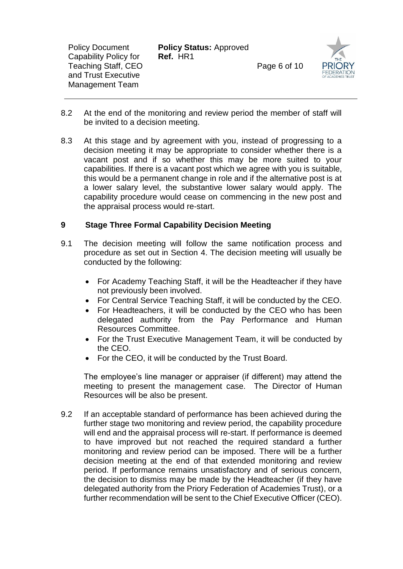**Policy Status:** Approved **Ref.** HR1

Page 6 of 10



- 8.2 At the end of the monitoring and review period the member of staff will be invited to a decision meeting.
- 8.3 At this stage and by agreement with you, instead of progressing to a decision meeting it may be appropriate to consider whether there is a vacant post and if so whether this may be more suited to your capabilities. If there is a vacant post which we agree with you is suitable, this would be a permanent change in role and if the alternative post is at a lower salary level, the substantive lower salary would apply. The capability procedure would cease on commencing in the new post and the appraisal process would re-start.

# **9 Stage Three Formal Capability Decision Meeting**

- 9.1 The decision meeting will follow the same notification process and procedure as set out in Section 4. The decision meeting will usually be conducted by the following:
	- For Academy Teaching Staff, it will be the Headteacher if they have not previously been involved.
	- For Central Service Teaching Staff, it will be conducted by the CEO.
	- For Headteachers, it will be conducted by the CEO who has been delegated authority from the Pay Performance and Human Resources Committee.
	- For the Trust Executive Management Team, it will be conducted by the CEO.
	- For the CEO, it will be conducted by the Trust Board.

The employee's line manager or appraiser (if different) may attend the meeting to present the management case. The Director of Human Resources will be also be present.

9.2 If an acceptable standard of performance has been achieved during the further stage two monitoring and review period, the capability procedure will end and the appraisal process will re-start. If performance is deemed to have improved but not reached the required standard a further monitoring and review period can be imposed. There will be a further decision meeting at the end of that extended monitoring and review period. If performance remains unsatisfactory and of serious concern, the decision to dismiss may be made by the Headteacher (if they have delegated authority from the Priory Federation of Academies Trust), or a further recommendation will be sent to the Chief Executive Officer (CEO).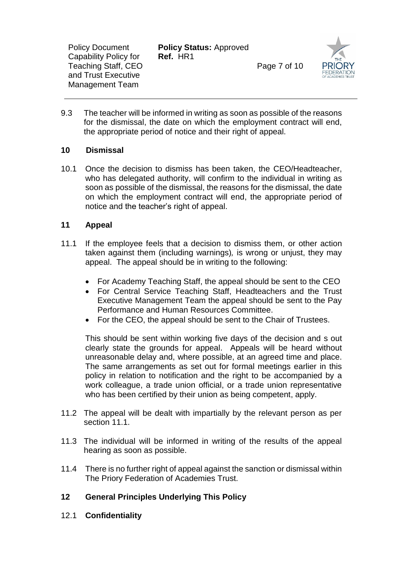**Policy Status:** Approved **Ref.** HR1

Page 7 of 10



9.3 The teacher will be informed in writing as soon as possible of the reasons for the dismissal, the date on which the employment contract will end, the appropriate period of notice and their right of appeal.

# **10 Dismissal**

10.1 Once the decision to dismiss has been taken, the CEO/Headteacher, who has delegated authority, will confirm to the individual in writing as soon as possible of the dismissal, the reasons for the dismissal, the date on which the employment contract will end, the appropriate period of notice and the teacher's right of appeal.

# **11 Appeal**

- 11.1 If the employee feels that a decision to dismiss them, or other action taken against them (including warnings)*,* is wrong or unjust, they may appeal. The appeal should be in writing to the following:
	- For Academy Teaching Staff, the appeal should be sent to the CEO
	- For Central Service Teaching Staff, Headteachers and the Trust Executive Management Team the appeal should be sent to the Pay Performance and Human Resources Committee.
	- For the CEO, the appeal should be sent to the Chair of Trustees.

This should be sent within working five days of the decision and s out clearly state the grounds for appeal. Appeals will be heard without unreasonable delay and, where possible, at an agreed time and place. The same arrangements as set out for formal meetings earlier in this policy in relation to notification and the right to be accompanied by a work colleague, a trade union official, or a trade union representative who has been certified by their union as being competent, apply.

- 11.2 The appeal will be dealt with impartially by the relevant person as per section 11.1.
- 11.3 The individual will be informed in writing of the results of the appeal hearing as soon as possible.
- 11.4 There is no further right of appeal against the sanction or dismissal within The Priory Federation of Academies Trust.

# **12 General Principles Underlying This Policy**

12.1 **Confidentiality**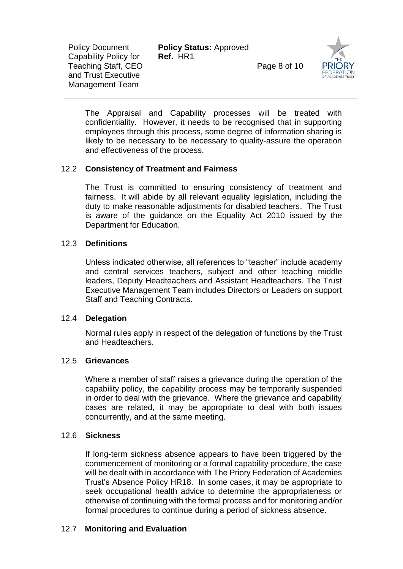| <b>Policy Document</b><br>Capability Policy for<br><b>Teaching Staff, CEO</b><br>and Trust Executive<br><b>Management Team</b> | <b>Policy Status: Approved</b><br>Ref. HR1 | Page 8 of 10 | <b>THE</b><br><b>PRIOR</b><br><b>FEDERATI</b><br>OF ACADEMIES T |
|--------------------------------------------------------------------------------------------------------------------------------|--------------------------------------------|--------------|-----------------------------------------------------------------|
|--------------------------------------------------------------------------------------------------------------------------------|--------------------------------------------|--------------|-----------------------------------------------------------------|

The Appraisal and Capability processes will be treated with confidentiality. However, it needs to be recognised that in supporting employees through this process, some degree of information sharing is likely to be necessary to be necessary to quality-assure the operation and effectiveness of the process.

# 12.2 **Consistency of Treatment and Fairness**

The Trust is committed to ensuring consistency of treatment and fairness. It will abide by all relevant equality legislation, including the duty to make reasonable adjustments for disabled teachers. The Trust is aware of the guidance on the Equality Act 2010 issued by the Department for Education.

#### 12.3 **Definitions**

Unless indicated otherwise, all references to "teacher" include academy and central services teachers, subject and other teaching middle leaders, Deputy Headteachers and Assistant Headteachers. The Trust Executive Management Team includes Directors or Leaders on support Staff and Teaching Contracts.

#### 12.4 **Delegation**

Normal rules apply in respect of the delegation of functions by the Trust and Headteachers.

#### 12.5 **Grievances**

Where a member of staff raises a grievance during the operation of the capability policy, the capability process may be temporarily suspended in order to deal with the grievance. Where the grievance and capability cases are related, it may be appropriate to deal with both issues concurrently, and at the same meeting.

#### 12.6 **Sickness**

If long-term sickness absence appears to have been triggered by the commencement of monitoring or a formal capability procedure, the case will be dealt with in accordance with The Priory Federation of Academies Trust's Absence Policy HR18. In some cases, it may be appropriate to seek occupational health advice to determine the appropriateness or otherwise of continuing with the formal process and for monitoring and/or formal procedures to continue during a period of sickness absence.

# 12.7 **Monitoring and Evaluation**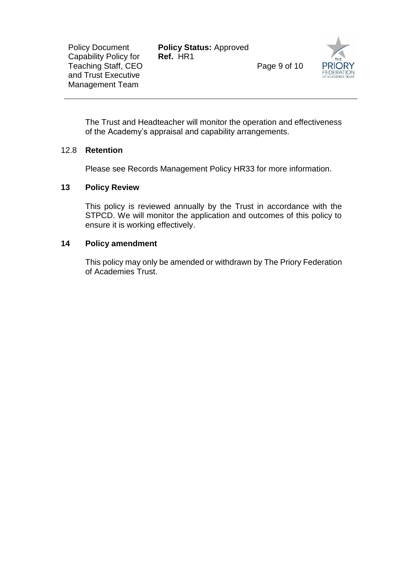**Policy Status:** Approved **Ref.** HR1

Page 9 of 10



The Trust and Headteacher will monitor the operation and effectiveness of the Academy's appraisal and capability arrangements.

### 12.8 **Retention**

Please see Records Management Policy HR33 for more information.

### **13 Policy Review**

This policy is reviewed annually by the Trust in accordance with the STPCD. We will monitor the application and outcomes of this policy to ensure it is working effectively.

### **14 Policy amendment**

This policy may only be amended or withdrawn by The Priory Federation of Academies Trust.